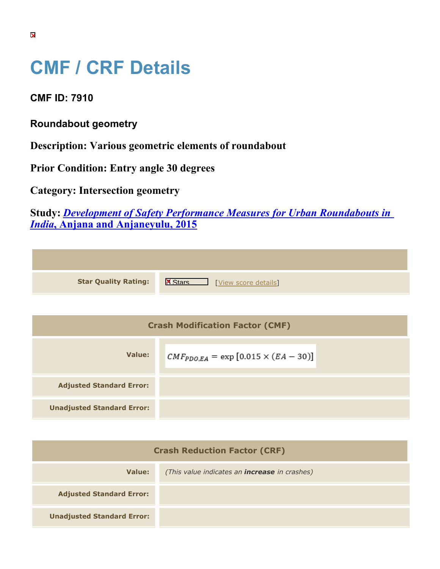## **CMF / CRF Details**

**CMF ID: 7910**

**Roundabout geometry**

**Description: Various geometric elements of roundabout**

**Prior Condition: Entry angle 30 degrees**

**Category: Intersection geometry**

**Unadjusted Standard Error:**

**Study:** *[Development of Safety Performance Measures for Urban Roundabouts in](https://cmfclearinghouse.org/study_detail.cfm?stid=428) [India](https://cmfclearinghouse.org/study_detail.cfm?stid=428)***[, Anjana and Anjaneyulu, 2015](https://cmfclearinghouse.org/study_detail.cfm?stid=428)**

| <b>Star Quality Rating:</b>            | <b>X</b><br>[View score details]               |  |
|----------------------------------------|------------------------------------------------|--|
|                                        |                                                |  |
| <b>Crash Modification Factor (CMF)</b> |                                                |  |
| <b>Value:</b>                          | $CMF_{PDO,EA} = \exp [0.015 \times (EA - 30)]$ |  |
| <b>Adjusted Standard Error:</b>        |                                                |  |

| <b>Crash Reduction Factor (CRF)</b> |                                                      |  |
|-------------------------------------|------------------------------------------------------|--|
| Value:                              | (This value indicates an <b>increase</b> in crashes) |  |
| <b>Adjusted Standard Error:</b>     |                                                      |  |
| <b>Unadjusted Standard Error:</b>   |                                                      |  |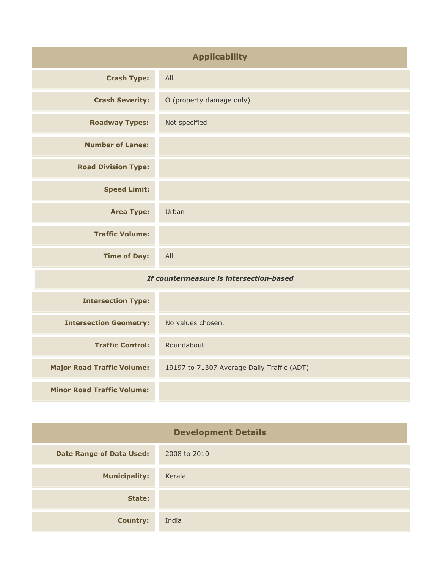| <b>Applicability</b>                    |                                            |
|-----------------------------------------|--------------------------------------------|
| <b>Crash Type:</b>                      | All                                        |
| <b>Crash Severity:</b>                  | O (property damage only)                   |
| <b>Roadway Types:</b>                   | Not specified                              |
| <b>Number of Lanes:</b>                 |                                            |
| <b>Road Division Type:</b>              |                                            |
| <b>Speed Limit:</b>                     |                                            |
| <b>Area Type:</b>                       | Urban                                      |
| <b>Traffic Volume:</b>                  |                                            |
| <b>Time of Day:</b>                     | All                                        |
| If countermeasure is intersection-based |                                            |
| <b>Intersection Type:</b>               |                                            |
| <b>Intersection Geometry:</b>           | No values chosen.                          |
| <b>Traffic Control:</b>                 | Roundabout                                 |
| <b>Major Road Traffic Volume:</b>       | 19197 to 71307 Average Daily Traffic (ADT) |
| <b>Minor Road Traffic Volume:</b>       |                                            |

| <b>Development Details</b>      |              |  |
|---------------------------------|--------------|--|
| <b>Date Range of Data Used:</b> | 2008 to 2010 |  |
| <b>Municipality:</b>            | Kerala       |  |
| State:                          |              |  |
| <b>Country:</b>                 | India        |  |